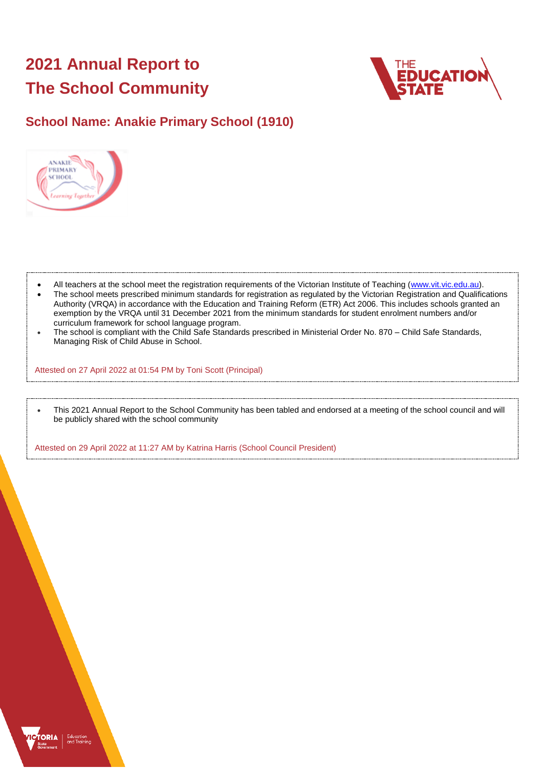# **2021 Annual Report to The School Community**



## **School Name: Anakie Primary School (1910)**



- All teachers at the school meet the registration requirements of the Victorian Institute of Teaching [\(www.vit.vic.edu.au\)](https://www.vit.vic.edu.au/).
- The school meets prescribed minimum standards for registration as regulated by the Victorian Registration and Qualifications Authority (VRQA) in accordance with the Education and Training Reform (ETR) Act 2006. This includes schools granted an exemption by the VRQA until 31 December 2021 from the minimum standards for student enrolment numbers and/or curriculum framework for school language program.
- The school is compliant with the Child Safe Standards prescribed in Ministerial Order No. 870 Child Safe Standards, Managing Risk of Child Abuse in School.

Attested on 27 April 2022 at 01:54 PM by Toni Scott (Principal)

• This 2021 Annual Report to the School Community has been tabled and endorsed at a meeting of the school council and will be publicly shared with the school community

Attested on 29 April 2022 at 11:27 AM by Katrina Harris (School Council President)

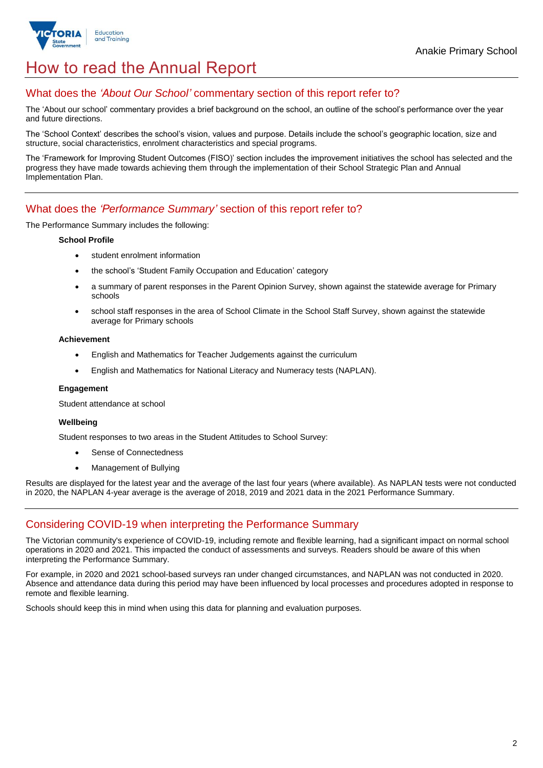

## How to read the Annual Report

### What does the *'About Our School'* commentary section of this report refer to?

The 'About our school' commentary provides a brief background on the school, an outline of the school's performance over the year and future directions.

The 'School Context' describes the school's vision, values and purpose. Details include the school's geographic location, size and structure, social characteristics, enrolment characteristics and special programs.

The 'Framework for Improving Student Outcomes (FISO)' section includes the improvement initiatives the school has selected and the progress they have made towards achieving them through the implementation of their School Strategic Plan and Annual Implementation Plan.

### What does the *'Performance Summary'* section of this report refer to?

The Performance Summary includes the following:

#### **School Profile**

- student enrolment information
- the school's 'Student Family Occupation and Education' category
- a summary of parent responses in the Parent Opinion Survey, shown against the statewide average for Primary schools
- school staff responses in the area of School Climate in the School Staff Survey, shown against the statewide average for Primary schools

#### **Achievement**

- English and Mathematics for Teacher Judgements against the curriculum
- English and Mathematics for National Literacy and Numeracy tests (NAPLAN).

#### **Engagement**

Student attendance at school

#### **Wellbeing**

Student responses to two areas in the Student Attitudes to School Survey:

- Sense of Connectedness
- Management of Bullying

Results are displayed for the latest year and the average of the last four years (where available). As NAPLAN tests were not conducted in 2020, the NAPLAN 4-year average is the average of 2018, 2019 and 2021 data in the 2021 Performance Summary.

## Considering COVID-19 when interpreting the Performance Summary

The Victorian community's experience of COVID-19, including remote and flexible learning, had a significant impact on normal school operations in 2020 and 2021. This impacted the conduct of assessments and surveys. Readers should be aware of this when interpreting the Performance Summary.

For example, in 2020 and 2021 school-based surveys ran under changed circumstances, and NAPLAN was not conducted in 2020. Absence and attendance data during this period may have been influenced by local processes and procedures adopted in response to remote and flexible learning.

Schools should keep this in mind when using this data for planning and evaluation purposes.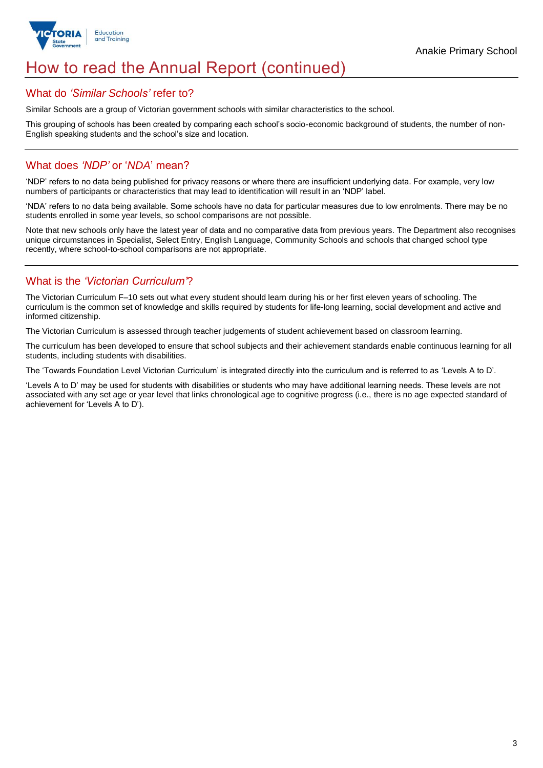

## How to read the Annual Report (continued)

### What do *'Similar Schools'* refer to?

Similar Schools are a group of Victorian government schools with similar characteristics to the school.

This grouping of schools has been created by comparing each school's socio-economic background of students, the number of non-English speaking students and the school's size and location.

## What does *'NDP'* or '*NDA*' mean?

'NDP' refers to no data being published for privacy reasons or where there are insufficient underlying data. For example, very low numbers of participants or characteristics that may lead to identification will result in an 'NDP' label.

'NDA' refers to no data being available. Some schools have no data for particular measures due to low enrolments. There may be no students enrolled in some year levels, so school comparisons are not possible.

Note that new schools only have the latest year of data and no comparative data from previous years. The Department also recognises unique circumstances in Specialist, Select Entry, English Language, Community Schools and schools that changed school type recently, where school-to-school comparisons are not appropriate.

## What is the *'Victorian Curriculum'*?

The Victorian Curriculum F–10 sets out what every student should learn during his or her first eleven years of schooling. The curriculum is the common set of knowledge and skills required by students for life-long learning, social development and active and informed citizenship.

The Victorian Curriculum is assessed through teacher judgements of student achievement based on classroom learning.

The curriculum has been developed to ensure that school subjects and their achievement standards enable continuous learning for all students, including students with disabilities.

The 'Towards Foundation Level Victorian Curriculum' is integrated directly into the curriculum and is referred to as 'Levels A to D'.

'Levels A to D' may be used for students with disabilities or students who may have additional learning needs. These levels are not associated with any set age or year level that links chronological age to cognitive progress (i.e., there is no age expected standard of achievement for 'Levels A to D').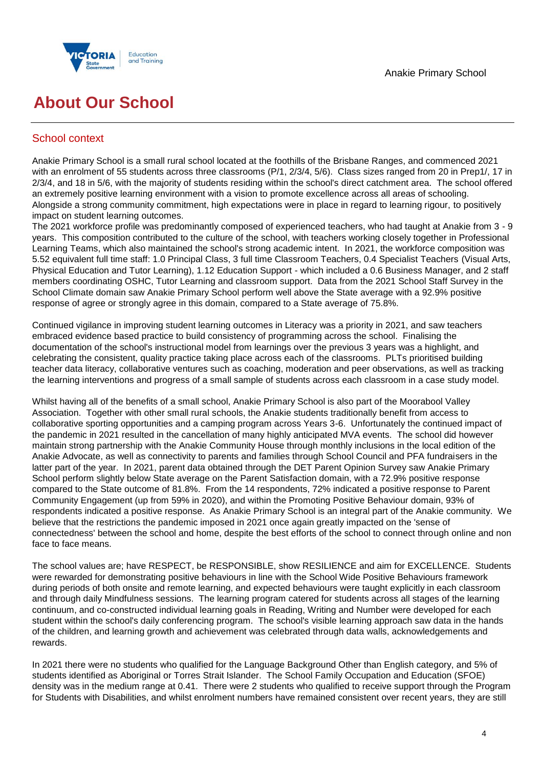

## **About Our School**

## School context

Anakie Primary School is a small rural school located at the foothills of the Brisbane Ranges, and commenced 2021 with an enrolment of 55 students across three classrooms (P/1, 2/3/4, 5/6). Class sizes ranged from 20 in Prep1/, 17 in 2/3/4, and 18 in 5/6, with the majority of students residing within the school's direct catchment area. The school offered an extremely positive learning environment with a vision to promote excellence across all areas of schooling. Alongside a strong community commitment, high expectations were in place in regard to learning rigour, to positively impact on student learning outcomes.

The 2021 workforce profile was predominantly composed of experienced teachers, who had taught at Anakie from 3 - 9 years. This composition contributed to the culture of the school, with teachers working closely together in Professional Learning Teams, which also maintained the school's strong academic intent. In 2021, the workforce composition was 5.52 equivalent full time staff: 1.0 Principal Class, 3 full time Classroom Teachers, 0.4 Specialist Teachers (Visual Arts, Physical Education and Tutor Learning), 1.12 Education Support - which included a 0.6 Business Manager, and 2 staff members coordinating OSHC, Tutor Learning and classroom support. Data from the 2021 School Staff Survey in the School Climate domain saw Anakie Primary School perform well above the State average with a 92.9% positive response of agree or strongly agree in this domain, compared to a State average of 75.8%.

Continued vigilance in improving student learning outcomes in Literacy was a priority in 2021, and saw teachers embraced evidence based practice to build consistency of programming across the school. Finalising the documentation of the school's instructional model from learnings over the previous 3 years was a highlight, and celebrating the consistent, quality practice taking place across each of the classrooms. PLTs prioritised building teacher data literacy, collaborative ventures such as coaching, moderation and peer observations, as well as tracking the learning interventions and progress of a small sample of students across each classroom in a case study model.

Whilst having all of the benefits of a small school, Anakie Primary School is also part of the Moorabool Valley Association. Together with other small rural schools, the Anakie students traditionally benefit from access to collaborative sporting opportunities and a camping program across Years 3-6. Unfortunately the continued impact of the pandemic in 2021 resulted in the cancellation of many highly anticipated MVA events. The school did however maintain strong partnership with the Anakie Community House through monthly inclusions in the local edition of the Anakie Advocate, as well as connectivity to parents and families through School Council and PFA fundraisers in the latter part of the year. In 2021, parent data obtained through the DET Parent Opinion Survey saw Anakie Primary School perform slightly below State average on the Parent Satisfaction domain, with a 72.9% positive response compared to the State outcome of 81.8%. From the 14 respondents, 72% indicated a positive response to Parent Community Engagement (up from 59% in 2020), and within the Promoting Positive Behaviour domain, 93% of respondents indicated a positive response. As Anakie Primary School is an integral part of the Anakie community. We believe that the restrictions the pandemic imposed in 2021 once again greatly impacted on the 'sense of connectedness' between the school and home, despite the best efforts of the school to connect through online and non face to face means.

The school values are; have RESPECT, be RESPONSIBLE, show RESILIENCE and aim for EXCELLENCE. Students were rewarded for demonstrating positive behaviours in line with the School Wide Positive Behaviours framework during periods of both onsite and remote learning, and expected behaviours were taught explicitly in each classroom and through daily Mindfulness sessions. The learning program catered for students across all stages of the learning continuum, and co-constructed individual learning goals in Reading, Writing and Number were developed for each student within the school's daily conferencing program. The school's visible learning approach saw data in the hands of the children, and learning growth and achievement was celebrated through data walls, acknowledgements and rewards.

In 2021 there were no students who qualified for the Language Background Other than English category, and 5% of students identified as Aboriginal or Torres Strait Islander. The School Family Occupation and Education (SFOE) density was in the medium range at 0.41. There were 2 students who qualified to receive support through the Program for Students with Disabilities, and whilst enrolment numbers have remained consistent over recent years, they are still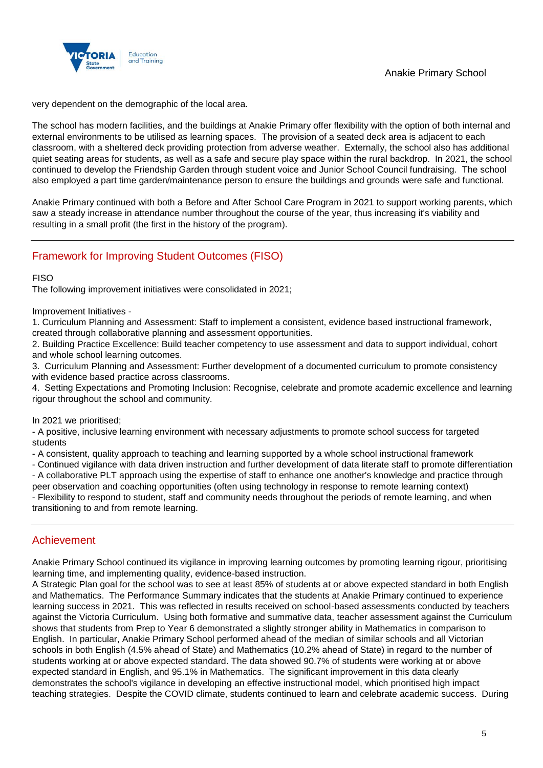



very dependent on the demographic of the local area.

The school has modern facilities, and the buildings at Anakie Primary offer flexibility with the option of both internal and external environments to be utilised as learning spaces. The provision of a seated deck area is adjacent to each classroom, with a sheltered deck providing protection from adverse weather. Externally, the school also has additional quiet seating areas for students, as well as a safe and secure play space within the rural backdrop. In 2021, the school continued to develop the Friendship Garden through student voice and Junior School Council fundraising. The school also employed a part time garden/maintenance person to ensure the buildings and grounds were safe and functional.

Anakie Primary continued with both a Before and After School Care Program in 2021 to support working parents, which saw a steady increase in attendance number throughout the course of the year, thus increasing it's viability and resulting in a small profit (the first in the history of the program).

## Framework for Improving Student Outcomes (FISO)

FISO

The following improvement initiatives were consolidated in 2021;

Improvement Initiatives -

1. Curriculum Planning and Assessment: Staff to implement a consistent, evidence based instructional framework, created through collaborative planning and assessment opportunities.

2. Building Practice Excellence: Build teacher competency to use assessment and data to support individual, cohort and whole school learning outcomes.

3. Curriculum Planning and Assessment: Further development of a documented curriculum to promote consistency with evidence based practice across classrooms.

4. Setting Expectations and Promoting Inclusion: Recognise, celebrate and promote academic excellence and learning rigour throughout the school and community.

In 2021 we prioritised;

- A positive, inclusive learning environment with necessary adjustments to promote school success for targeted students

- A consistent, quality approach to teaching and learning supported by a whole school instructional framework

- Continued vigilance with data driven instruction and further development of data literate staff to promote differentiation - A collaborative PLT approach using the expertise of staff to enhance one another's knowledge and practice through peer observation and coaching opportunities (often using technology in response to remote learning context) - Flexibility to respond to student, staff and community needs throughout the periods of remote learning, and when

transitioning to and from remote learning.

## Achievement

Anakie Primary School continued its vigilance in improving learning outcomes by promoting learning rigour, prioritising learning time, and implementing quality, evidence-based instruction.

A Strategic Plan goal for the school was to see at least 85% of students at or above expected standard in both English and Mathematics. The Performance Summary indicates that the students at Anakie Primary continued to experience learning success in 2021. This was reflected in results received on school-based assessments conducted by teachers against the Victoria Curriculum. Using both formative and summative data, teacher assessment against the Curriculum shows that students from Prep to Year 6 demonstrated a slightly stronger ability in Mathematics in comparison to English. In particular, Anakie Primary School performed ahead of the median of similar schools and all Victorian schools in both English (4.5% ahead of State) and Mathematics (10.2% ahead of State) in regard to the number of students working at or above expected standard. The data showed 90.7% of students were working at or above expected standard in English, and 95.1% in Mathematics. The significant improvement in this data clearly demonstrates the school's vigilance in developing an effective instructional model, which prioritised high impact teaching strategies. Despite the COVID climate, students continued to learn and celebrate academic success. During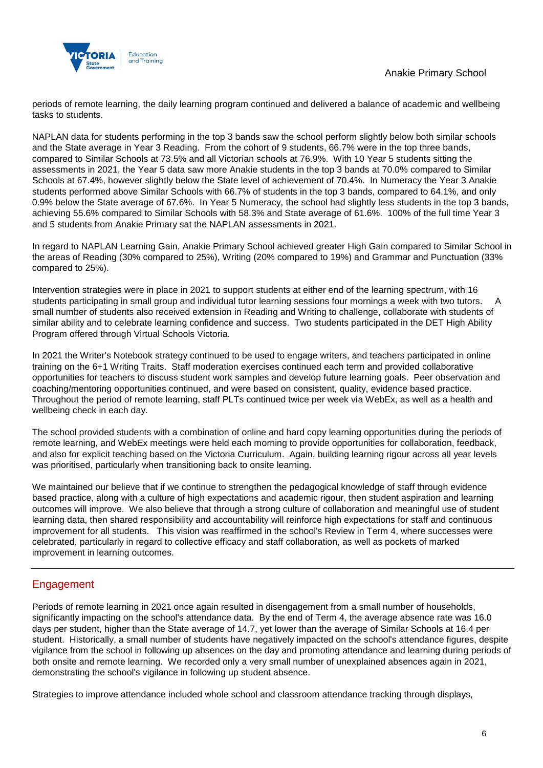

periods of remote learning, the daily learning program continued and delivered a balance of academic and wellbeing tasks to students.

NAPLAN data for students performing in the top 3 bands saw the school perform slightly below both similar schools and the State average in Year 3 Reading. From the cohort of 9 students, 66.7% were in the top three bands, compared to Similar Schools at 73.5% and all Victorian schools at 76.9%. With 10 Year 5 students sitting the assessments in 2021, the Year 5 data saw more Anakie students in the top 3 bands at 70.0% compared to Similar Schools at 67.4%, however slightly below the State level of achievement of 70.4%. In Numeracy the Year 3 Anakie students performed above Similar Schools with 66.7% of students in the top 3 bands, compared to 64.1%, and only 0.9% below the State average of 67.6%. In Year 5 Numeracy, the school had slightly less students in the top 3 bands, achieving 55.6% compared to Similar Schools with 58.3% and State average of 61.6%. 100% of the full time Year 3 and 5 students from Anakie Primary sat the NAPLAN assessments in 2021.

In regard to NAPLAN Learning Gain, Anakie Primary School achieved greater High Gain compared to Similar School in the areas of Reading (30% compared to 25%), Writing (20% compared to 19%) and Grammar and Punctuation (33% compared to 25%).

Intervention strategies were in place in 2021 to support students at either end of the learning spectrum, with 16 students participating in small group and individual tutor learning sessions four mornings a week with two tutors. A small number of students also received extension in Reading and Writing to challenge, collaborate with students of similar ability and to celebrate learning confidence and success. Two students participated in the DET High Ability Program offered through Virtual Schools Victoria.

In 2021 the Writer's Notebook strategy continued to be used to engage writers, and teachers participated in online training on the 6+1 Writing Traits. Staff moderation exercises continued each term and provided collaborative opportunities for teachers to discuss student work samples and develop future learning goals. Peer observation and coaching/mentoring opportunities continued, and were based on consistent, quality, evidence based practice. Throughout the period of remote learning, staff PLTs continued twice per week via WebEx, as well as a health and wellbeing check in each day.

The school provided students with a combination of online and hard copy learning opportunities during the periods of remote learning, and WebEx meetings were held each morning to provide opportunities for collaboration, feedback, and also for explicit teaching based on the Victoria Curriculum. Again, building learning rigour across all year levels was prioritised, particularly when transitioning back to onsite learning.

We maintained our believe that if we continue to strengthen the pedagogical knowledge of staff through evidence based practice, along with a culture of high expectations and academic rigour, then student aspiration and learning outcomes will improve. We also believe that through a strong culture of collaboration and meaningful use of student learning data, then shared responsibility and accountability will reinforce high expectations for staff and continuous improvement for all students. This vision was reaffirmed in the school's Review in Term 4, where successes were celebrated, particularly in regard to collective efficacy and staff collaboration, as well as pockets of marked improvement in learning outcomes.

## Engagement

Periods of remote learning in 2021 once again resulted in disengagement from a small number of households, significantly impacting on the school's attendance data. By the end of Term 4, the average absence rate was 16.0 days per student, higher than the State average of 14.7, yet lower than the average of Similar Schools at 16.4 per student. Historically, a small number of students have negatively impacted on the school's attendance figures, despite vigilance from the school in following up absences on the day and promoting attendance and learning during periods of both onsite and remote learning. We recorded only a very small number of unexplained absences again in 2021, demonstrating the school's vigilance in following up student absence.

Strategies to improve attendance included whole school and classroom attendance tracking through displays,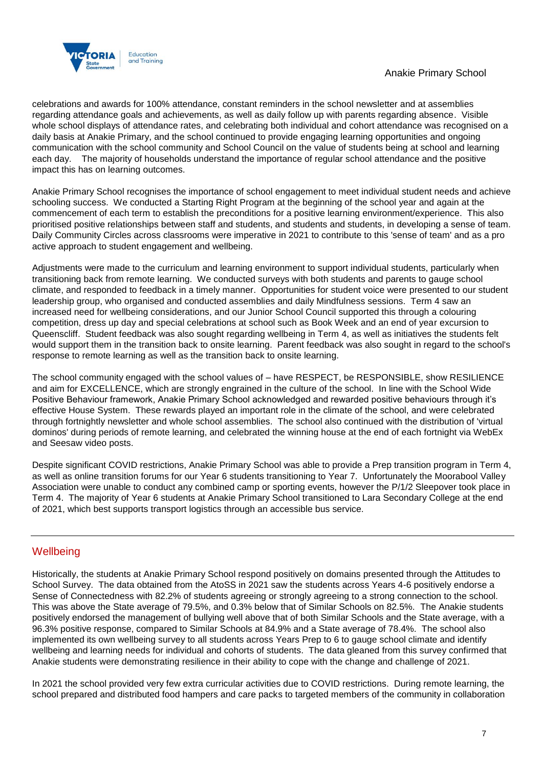

celebrations and awards for 100% attendance, constant reminders in the school newsletter and at assemblies regarding attendance goals and achievements, as well as daily follow up with parents regarding absence. Visible whole school displays of attendance rates, and celebrating both individual and cohort attendance was recognised on a daily basis at Anakie Primary, and the school continued to provide engaging learning opportunities and ongoing communication with the school community and School Council on the value of students being at school and learning each day. The majority of households understand the importance of regular school attendance and the positive impact this has on learning outcomes.

Anakie Primary School recognises the importance of school engagement to meet individual student needs and achieve schooling success. We conducted a Starting Right Program at the beginning of the school year and again at the commencement of each term to establish the preconditions for a positive learning environment/experience. This also prioritised positive relationships between staff and students, and students and students, in developing a sense of team. Daily Community Circles across classrooms were imperative in 2021 to contribute to this 'sense of team' and as a pro active approach to student engagement and wellbeing.

Adjustments were made to the curriculum and learning environment to support individual students, particularly when transitioning back from remote learning. We conducted surveys with both students and parents to gauge school climate, and responded to feedback in a timely manner. Opportunities for student voice were presented to our student leadership group, who organised and conducted assemblies and daily Mindfulness sessions. Term 4 saw an increased need for wellbeing considerations, and our Junior School Council supported this through a colouring competition, dress up day and special celebrations at school such as Book Week and an end of year excursion to Queenscliff. Student feedback was also sought regarding wellbeing in Term 4, as well as initiatives the students felt would support them in the transition back to onsite learning. Parent feedback was also sought in regard to the school's response to remote learning as well as the transition back to onsite learning.

The school community engaged with the school values of – have RESPECT, be RESPONSIBLE, show RESILIENCE and aim for EXCELLENCE, which are strongly engrained in the culture of the school. In line with the School Wide Positive Behaviour framework, Anakie Primary School acknowledged and rewarded positive behaviours through it's effective House System. These rewards played an important role in the climate of the school, and were celebrated through fortnightly newsletter and whole school assemblies. The school also continued with the distribution of 'virtual dominos' during periods of remote learning, and celebrated the winning house at the end of each fortnight via WebEx and Seesaw video posts.

Despite significant COVID restrictions, Anakie Primary School was able to provide a Prep transition program in Term 4, as well as online transition forums for our Year 6 students transitioning to Year 7. Unfortunately the Moorabool Valley Association were unable to conduct any combined camp or sporting events, however the P/1/2 Sleepover took place in Term 4. The majority of Year 6 students at Anakie Primary School transitioned to Lara Secondary College at the end of 2021, which best supports transport logistics through an accessible bus service.

### **Wellbeing**

Historically, the students at Anakie Primary School respond positively on domains presented through the Attitudes to School Survey. The data obtained from the AtoSS in 2021 saw the students across Years 4-6 positively endorse a Sense of Connectedness with 82.2% of students agreeing or strongly agreeing to a strong connection to the school. This was above the State average of 79.5%, and 0.3% below that of Similar Schools on 82.5%. The Anakie students positively endorsed the management of bullying well above that of both Similar Schools and the State average, with a 96.3% positive response, compared to Similar Schools at 84.9% and a State average of 78.4%. The school also implemented its own wellbeing survey to all students across Years Prep to 6 to gauge school climate and identify wellbeing and learning needs for individual and cohorts of students. The data gleaned from this survey confirmed that Anakie students were demonstrating resilience in their ability to cope with the change and challenge of 2021.

In 2021 the school provided very few extra curricular activities due to COVID restrictions. During remote learning, the school prepared and distributed food hampers and care packs to targeted members of the community in collaboration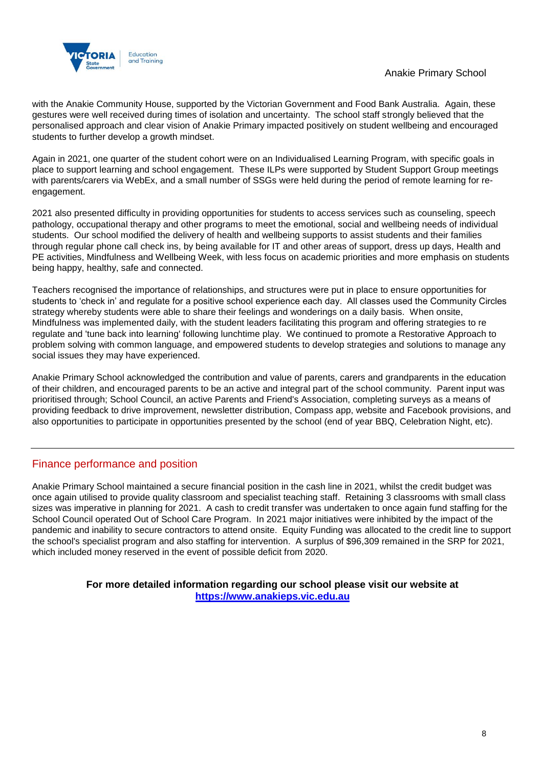



with the Anakie Community House, supported by the Victorian Government and Food Bank Australia. Again, these gestures were well received during times of isolation and uncertainty. The school staff strongly believed that the personalised approach and clear vision of Anakie Primary impacted positively on student wellbeing and encouraged students to further develop a growth mindset.

Again in 2021, one quarter of the student cohort were on an Individualised Learning Program, with specific goals in place to support learning and school engagement. These ILPs were supported by Student Support Group meetings with parents/carers via WebEx, and a small number of SSGs were held during the period of remote learning for reengagement.

2021 also presented difficulty in providing opportunities for students to access services such as counseling, speech pathology, occupational therapy and other programs to meet the emotional, social and wellbeing needs of individual students. Our school modified the delivery of health and wellbeing supports to assist students and their families through regular phone call check ins, by being available for IT and other areas of support, dress up days, Health and PE activities, Mindfulness and Wellbeing Week, with less focus on academic priorities and more emphasis on students being happy, healthy, safe and connected.

Teachers recognised the importance of relationships, and structures were put in place to ensure opportunities for students to 'check in' and regulate for a positive school experience each day. All classes used the Community Circles strategy whereby students were able to share their feelings and wonderings on a daily basis. When onsite, Mindfulness was implemented daily, with the student leaders facilitating this program and offering strategies to re regulate and 'tune back into learning' following lunchtime play. We continued to promote a Restorative Approach to problem solving with common language, and empowered students to develop strategies and solutions to manage any social issues they may have experienced.

Anakie Primary School acknowledged the contribution and value of parents, carers and grandparents in the education of their children, and encouraged parents to be an active and integral part of the school community. Parent input was prioritised through; School Council, an active Parents and Friend's Association, completing surveys as a means of providing feedback to drive improvement, newsletter distribution, Compass app, website and Facebook provisions, and also opportunities to participate in opportunities presented by the school (end of year BBQ, Celebration Night, etc).

## Finance performance and position

Anakie Primary School maintained a secure financial position in the cash line in 2021, whilst the credit budget was once again utilised to provide quality classroom and specialist teaching staff. Retaining 3 classrooms with small class sizes was imperative in planning for 2021. A cash to credit transfer was undertaken to once again fund staffing for the School Council operated Out of School Care Program. In 2021 major initiatives were inhibited by the impact of the pandemic and inability to secure contractors to attend onsite. Equity Funding was allocated to the credit line to support the school's specialist program and also staffing for intervention. A surplus of \$96,309 remained in the SRP for 2021, which included money reserved in the event of possible deficit from 2020.

> **For more detailed information regarding our school please visit our website at [https://www.anakieps.vic.edu.au](https://www.anakieps.vic.edu.au/)**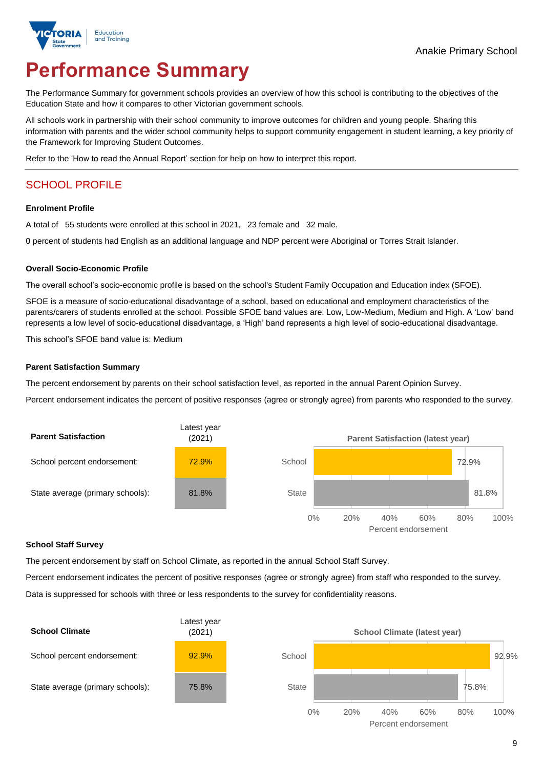

# **Performance Summary**

The Performance Summary for government schools provides an overview of how this school is contributing to the objectives of the Education State and how it compares to other Victorian government schools.

All schools work in partnership with their school community to improve outcomes for children and young people. Sharing this information with parents and the wider school community helps to support community engagement in student learning, a key priority of the Framework for Improving Student Outcomes.

Refer to the 'How to read the Annual Report' section for help on how to interpret this report.

## SCHOOL PROFILE

#### **Enrolment Profile**

A total of 55 students were enrolled at this school in 2021, 23 female and 32 male.

0 percent of students had English as an additional language and NDP percent were Aboriginal or Torres Strait Islander.

#### **Overall Socio-Economic Profile**

The overall school's socio-economic profile is based on the school's Student Family Occupation and Education index (SFOE).

SFOE is a measure of socio-educational disadvantage of a school, based on educational and employment characteristics of the parents/carers of students enrolled at the school. Possible SFOE band values are: Low, Low-Medium, Medium and High. A 'Low' band represents a low level of socio-educational disadvantage, a 'High' band represents a high level of socio-educational disadvantage.

This school's SFOE band value is: Medium

#### **Parent Satisfaction Summary**

The percent endorsement by parents on their school satisfaction level, as reported in the annual Parent Opinion Survey.

Percent endorsement indicates the percent of positive responses (agree or strongly agree) from parents who responded to the survey.



#### **School Staff Survey**

The percent endorsement by staff on School Climate, as reported in the annual School Staff Survey.

Percent endorsement indicates the percent of positive responses (agree or strongly agree) from staff who responded to the survey.

Data is suppressed for schools with three or less respondents to the survey for confidentiality reasons.

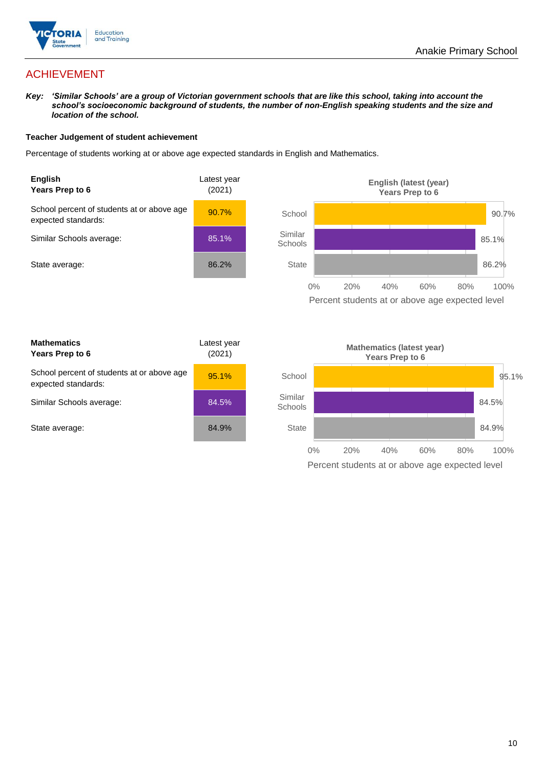

## ACHIEVEMENT

*Key: 'Similar Schools' are a group of Victorian government schools that are like this school, taking into account the school's socioeconomic background of students, the number of non-English speaking students and the size and location of the school.*

#### **Teacher Judgement of student achievement**

Percentage of students working at or above age expected standards in English and Mathematics.



Percent students at or above age expected level

| <b>Mathematics</b><br>Years Prep to 6                             | Latest year<br>(2021) |
|-------------------------------------------------------------------|-----------------------|
| School percent of students at or above age<br>expected standards: | 95.1%                 |
| Similar Schools average:                                          | 84.5%                 |
| State average:                                                    | 84.9%                 |

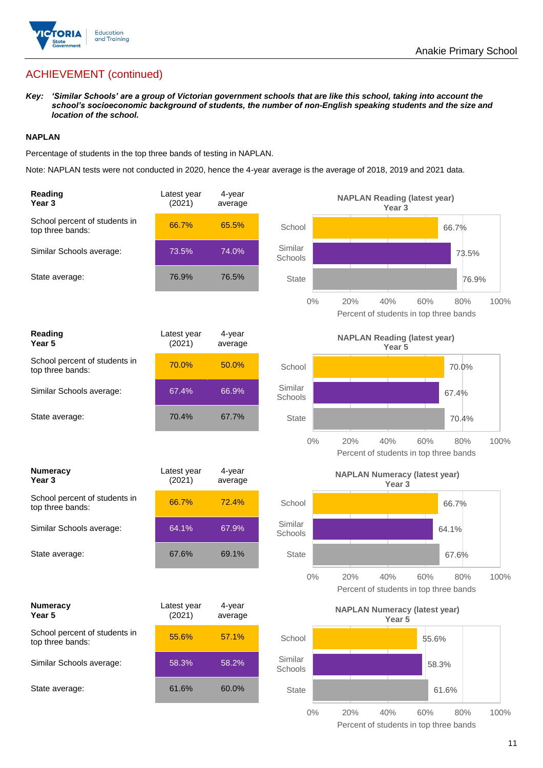

## ACHIEVEMENT (continued)

*Key: 'Similar Schools' are a group of Victorian government schools that are like this school, taking into account the school's socioeconomic background of students, the number of non-English speaking students and the size and location of the school.*

#### **NAPLAN**

Percentage of students in the top three bands of testing in NAPLAN.

Note: NAPLAN tests were not conducted in 2020, hence the 4-year average is the average of 2018, 2019 and 2021 data.

| Reading<br>Year <sub>3</sub>                      | Latest year<br>(2021) | 4-year<br>average |                    | <b>NAPLAN Reading (latest year)</b><br>Year <sub>3</sub>  |            |      |
|---------------------------------------------------|-----------------------|-------------------|--------------------|-----------------------------------------------------------|------------|------|
| School percent of students in<br>top three bands: | 66.7%                 | 65.5%             | School             |                                                           | 66.7%      |      |
| Similar Schools average:                          | 73.5%                 | 74.0%             | Similar<br>Schools |                                                           | 73.5%      |      |
| State average:                                    | 76.9%                 | 76.5%             | <b>State</b>       |                                                           | 76.9%      |      |
|                                                   |                       |                   | $0\%$              | 20%<br>40%<br>Percent of students in top three bands      | 60%<br>80% | 100% |
| Reading<br>Year 5                                 | Latest year<br>(2021) | 4-year<br>average |                    | <b>NAPLAN Reading (latest year)</b><br>Year 5             |            |      |
| School percent of students in<br>top three bands: | 70.0%                 | 50.0%             | School             |                                                           | 70.0%      |      |
| Similar Schools average:                          | 67.4%                 | 66.9%             | Similar<br>Schools |                                                           | 67.4%      |      |
| State average:                                    | 70.4%                 | 67.7%             | <b>State</b>       |                                                           | 70.4%      |      |
|                                                   |                       |                   | $0\%$              | 20%<br>40%<br>Percent of students in top three bands      | 60%<br>80% | 100% |
|                                                   |                       |                   |                    |                                                           |            |      |
| <b>Numeracy</b><br>Year <sub>3</sub>              | Latest year<br>(2021) | 4-year<br>average |                    | <b>NAPLAN Numeracy (latest year)</b><br>Year <sub>3</sub> |            |      |
| School percent of students in<br>top three bands: | 66.7%                 | 72.4%             | School             |                                                           | 66.7%      |      |
| Similar Schools average:                          | 64.1%                 | 67.9%             | Similar<br>Schools |                                                           | 64.1%      |      |
| State average:                                    | 67.6%                 | 69.1%             | <b>State</b>       |                                                           | 67.6%      |      |
|                                                   |                       |                   | $0\%$              | 20%<br>40%<br>Percent of students in top three bands      | 60%<br>80% | 100% |
| <b>Numeracy</b><br>Year 5                         | Latest year<br>(2021) | 4-year<br>average |                    | <b>NAPLAN Numeracy (latest year)</b><br>Year 5            |            |      |
| School percent of students in<br>top three bands: | 55.6%                 | 57.1%             | School             |                                                           | 55.6%      |      |
| Similar Schools average:                          | 58.3%                 | 58.2%             | Similar<br>Schools |                                                           | 58.3%      |      |
| State average:                                    | 61.6%                 | 60.0%             | <b>State</b>       |                                                           | 61.6%      |      |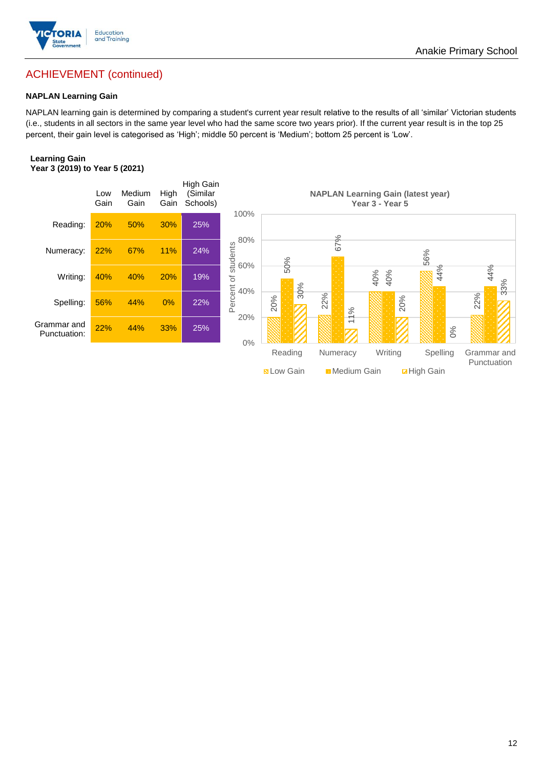

## ACHIEVEMENT (continued)

#### **NAPLAN Learning Gain**

NAPLAN learning gain is determined by comparing a student's current year result relative to the results of all 'similar' Victorian students (i.e., students in all sectors in the same year level who had the same score two years prior). If the current year result is in the top 25 percent, their gain level is categorised as 'High'; middle 50 percent is 'Medium'; bottom 25 percent is 'Low'.

#### **Learning Gain Year 3 (2019) to Year 5 (2021)**



**BLow Gain** Medium Gain **Example 10** 

Anakie Primary School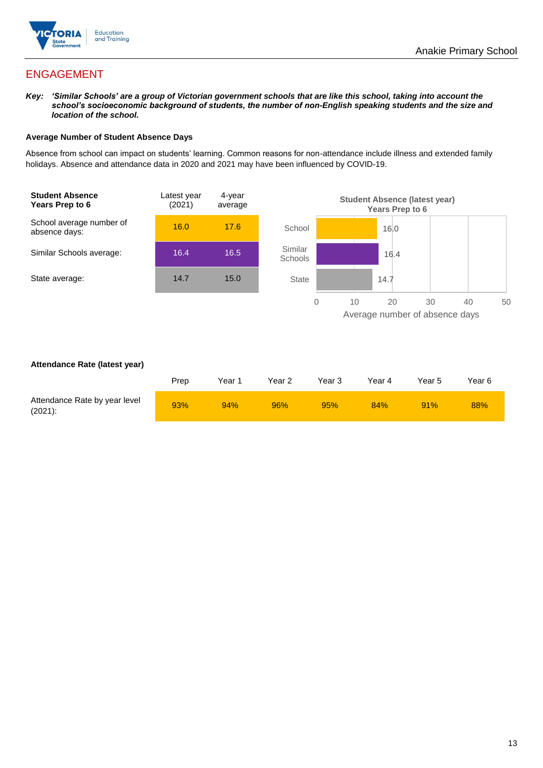

## ENGAGEMENT

*Key: 'Similar Schools' are a group of Victorian government schools that are like this school, taking into account the school's socioeconomic background of students, the number of non-English speaking students and the size and location of the school.*

#### **Average Number of Student Absence Days**

Absence from school can impact on students' learning. Common reasons for non-attendance include illness and extended family holidays. Absence and attendance data in 2020 and 2021 may have been influenced by COVID-19.



#### **Attendance Rate (latest year)**

|                                             | Prep | Year 1 | Year 2 | Year 3 | Year 4 | Year 5 | Year 6 |
|---------------------------------------------|------|--------|--------|--------|--------|--------|--------|
| Attendance Rate by year level<br>$(2021)$ : | 93%  | 94%    | 96%    | 95%    | 84%    | 91%    | 88%    |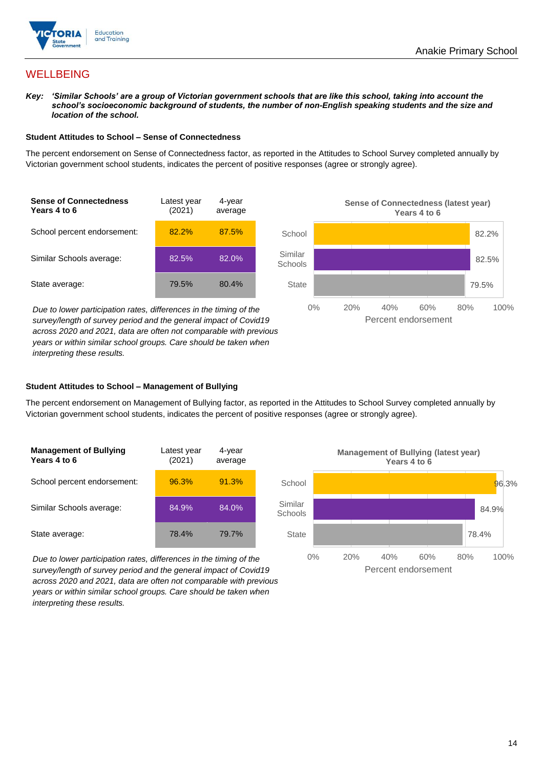

## **WELLBEING**

*Key: 'Similar Schools' are a group of Victorian government schools that are like this school, taking into account the school's socioeconomic background of students, the number of non-English speaking students and the size and location of the school.*

#### **Student Attitudes to School – Sense of Connectedness**

The percent endorsement on Sense of Connectedness factor, as reported in the Attitudes to School Survey completed annually by Victorian government school students, indicates the percent of positive responses (agree or strongly agree).

| <b>Sense of Connectedness</b><br>Years 4 to 6 | Latest year<br>(2021) | 4-year<br>average |
|-----------------------------------------------|-----------------------|-------------------|
| School percent endorsement:                   | 82.2%                 | 87.5%             |
| Similar Schools average:                      | 82.5%                 | 82.0%             |
| State average:                                | 79.5%                 | 80.4%             |

82.2% 82.5% 79.5% 0% 20% 40% 60% 80% 100% **School** Similar **Schools State** Percent endorsement

**Sense of Connectedness (latest year) Years 4 to 6**

*Due to lower participation rates, differences in the timing of the survey/length of survey period and the general impact of Covid19 across 2020 and 2021, data are often not comparable with previous years or within similar school groups. Care should be taken when interpreting these results.*

#### **Student Attitudes to School – Management of Bullying**

The percent endorsement on Management of Bullying factor, as reported in the Attitudes to School Survey completed annually by Victorian government school students, indicates the percent of positive responses (agree or strongly agree).

| <b>Management of Bullying</b><br>Years 4 to 6 | Latest year<br>(2021) | 4-year<br>average |  |
|-----------------------------------------------|-----------------------|-------------------|--|
| School percent endorsement:                   | 96.3%                 | 91.3%             |  |
| Similar Schools average:                      | 84.9%                 | 84.0%             |  |
| State average:                                | 78.4%                 | 79.7%             |  |

*Due to lower participation rates, differences in the timing of the survey/length of survey period and the general impact of Covid19 across 2020 and 2021, data are often not comparable with previous years or within similar school groups. Care should be taken when interpreting these results.*

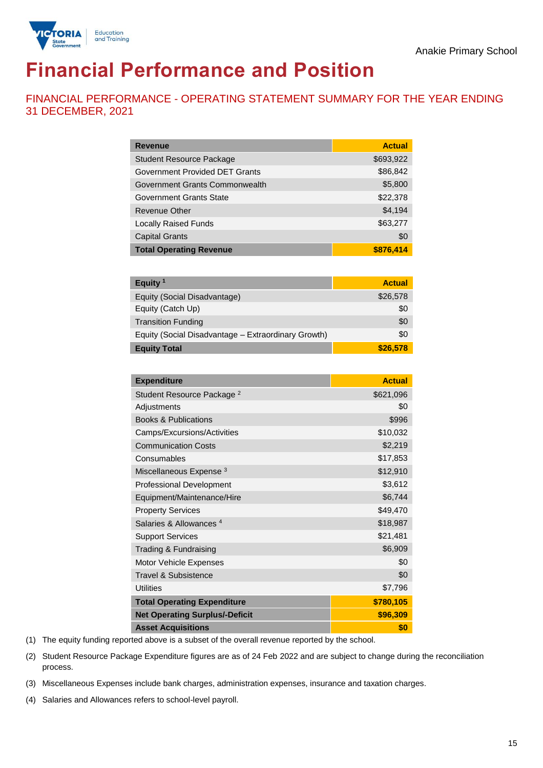

# **Financial Performance and Position**

FINANCIAL PERFORMANCE - OPERATING STATEMENT SUMMARY FOR THE YEAR ENDING 31 DECEMBER, 2021

| <b>Revenue</b>                  | <b>Actual</b> |
|---------------------------------|---------------|
| <b>Student Resource Package</b> | \$693,922     |
| Government Provided DET Grants  | \$86,842      |
| Government Grants Commonwealth  | \$5,800       |
| <b>Government Grants State</b>  | \$22,378      |
| Revenue Other                   | \$4,194       |
| <b>Locally Raised Funds</b>     | \$63,277      |
| <b>Capital Grants</b>           | \$0           |
| <b>Total Operating Revenue</b>  | \$876,414     |

| Equity <sup>1</sup>                                 | <b>Actual</b> |
|-----------------------------------------------------|---------------|
| Equity (Social Disadvantage)                        | \$26,578      |
| Equity (Catch Up)                                   | \$0           |
| <b>Transition Funding</b>                           | \$0           |
| Equity (Social Disadvantage - Extraordinary Growth) | \$0           |
| <b>Equity Total</b>                                 | \$26,578      |

| <b>Expenditure</b>                    | <b>Actual</b> |
|---------------------------------------|---------------|
| Student Resource Package <sup>2</sup> | \$621,096     |
| Adjustments                           | \$0           |
| <b>Books &amp; Publications</b>       | \$996         |
| Camps/Excursions/Activities           | \$10,032      |
| <b>Communication Costs</b>            | \$2,219       |
| Consumables                           | \$17,853      |
| Miscellaneous Expense <sup>3</sup>    | \$12,910      |
| <b>Professional Development</b>       | \$3,612       |
| Equipment/Maintenance/Hire            | \$6,744       |
| <b>Property Services</b>              | \$49,470      |
| Salaries & Allowances <sup>4</sup>    | \$18,987      |
| <b>Support Services</b>               | \$21,481      |
| Trading & Fundraising                 | \$6,909       |
| Motor Vehicle Expenses                | \$0           |
| Travel & Subsistence                  | \$0           |
| <b>Utilities</b>                      | \$7,796       |
| <b>Total Operating Expenditure</b>    | \$780,105     |
| <b>Net Operating Surplus/-Deficit</b> | \$96,309      |
| <b>Asset Acquisitions</b>             | \$0           |

(1) The equity funding reported above is a subset of the overall revenue reported by the school.

(2) Student Resource Package Expenditure figures are as of 24 Feb 2022 and are subject to change during the reconciliation process.

(3) Miscellaneous Expenses include bank charges, administration expenses, insurance and taxation charges.

(4) Salaries and Allowances refers to school-level payroll.